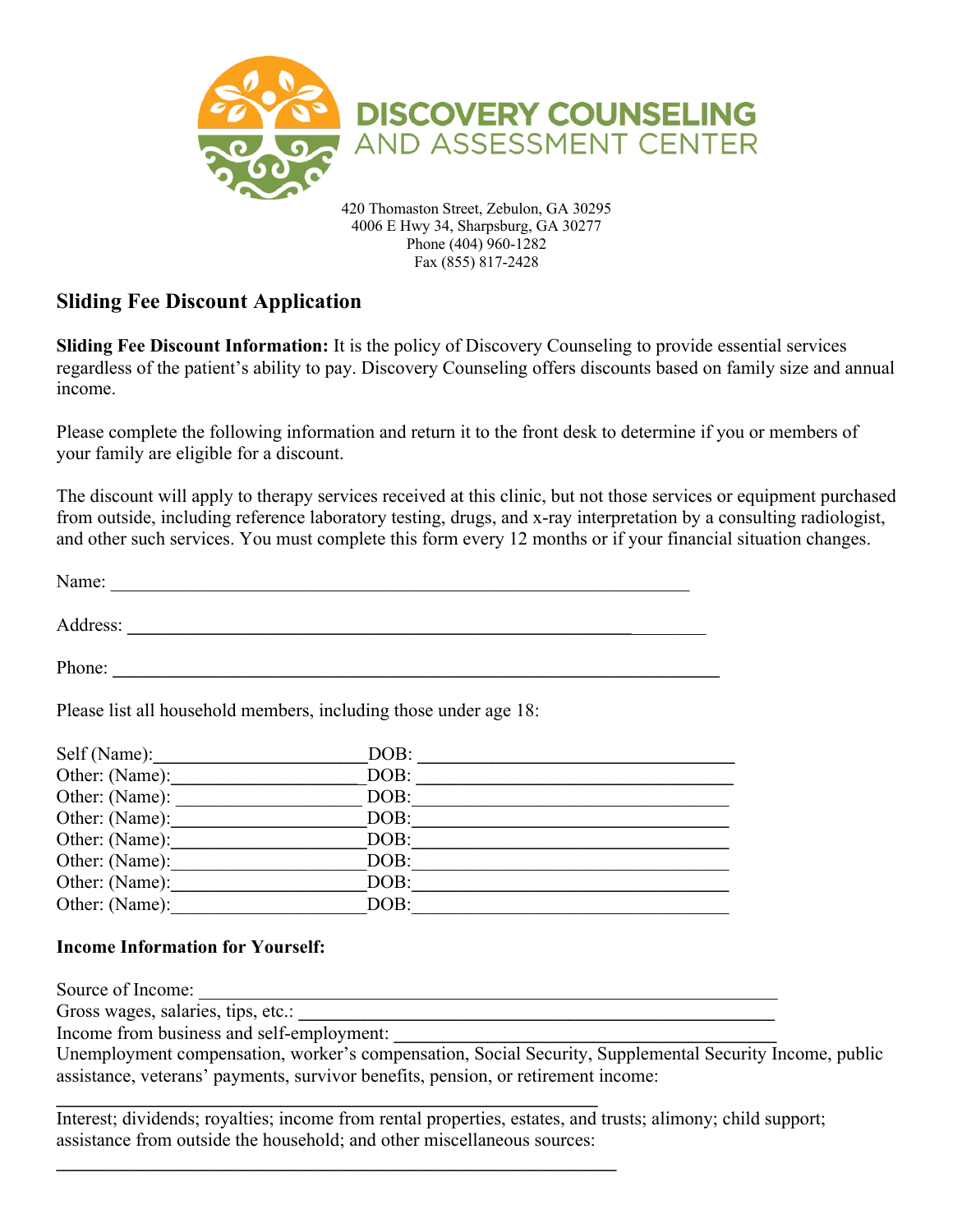

4006 E Hwy 34, Sharpsburg, GA 30277 Phone (404) 960-1282 Fax (855) 817-2428

## **Sliding Fee Discount Application**

**Sliding Fee Discount Information:** It is the policy of Discovery Counseling to provide essential services regardless of the patient's ability to pay. Discovery Counseling offers discounts based on family size and annual income.

Please complete the following information and return it to the front desk to determine if you or members of your family are eligible for a discount.

The discount will apply to therapy services received at this clinic, but not those services or equipment purchased from outside, including reference laboratory testing, drugs, and x-ray interpretation by a consulting radiologist, and other such services. You must complete this form every 12 months or if your financial situation changes.

Name: \_\_\_\_\_\_\_\_\_\_\_\_\_\_\_\_\_\_\_\_\_\_\_\_\_\_\_\_\_\_\_\_\_\_\_\_\_\_\_\_\_\_\_\_\_\_\_\_\_\_\_\_\_\_\_\_\_\_\_\_\_\_

Address: **\_\_\_\_\_\_\_\_\_\_\_\_\_\_\_\_\_\_\_\_\_\_\_\_\_\_\_\_\_\_\_\_\_\_\_\_\_\_\_\_\_\_\_\_\_\_\_\_\_\_\_\_\_\_**\_\_\_\_\_\_\_\_

Phone:

Please list all household members, including those under age 18:

**\_\_\_\_\_\_\_\_\_\_\_\_\_\_\_\_\_\_\_\_\_\_\_\_\_\_\_\_\_\_\_\_\_\_\_\_\_\_\_\_\_\_\_\_\_\_\_\_\_\_\_\_\_\_\_\_\_\_**

**\_\_\_\_\_\_\_\_\_\_\_\_\_\_\_\_\_\_\_\_\_\_\_\_\_\_\_\_\_\_\_\_\_\_\_\_\_\_\_\_\_\_\_\_\_\_\_\_\_\_\_\_\_\_\_\_\_\_\_\_**

| Self (Name):   | DOB: |
|----------------|------|
| Other: (Name): | DOB: |
| Other: (Name): | DOB: |
| Other: (Name): | DOB: |
| Other: (Name): | DOB: |
| Other: (Name): | DOB: |
| Other: (Name): | DOB: |
| Other: (Name): | DOB: |

## **Income Information for Yourself:**

Source of Income:

Gross wages, salaries, tips, etc.:

Income from business and self-employment: **\_\_\_\_\_\_\_\_\_\_\_\_\_\_\_\_\_\_\_\_\_\_\_\_\_\_\_\_\_\_\_\_\_\_\_\_\_\_\_\_\_**

Unemployment compensation, worker's compensation, Social Security, Supplemental Security Income, public assistance, veterans' payments, survivor benefits, pension, or retirement income:

Interest; dividends; royalties; income from rental properties, estates, and trusts; alimony; child support; assistance from outside the household; and other miscellaneous sources: